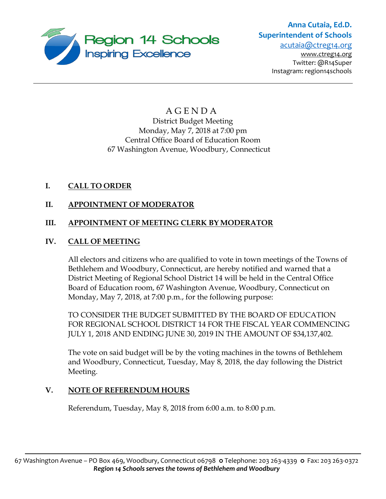

# **Anna Cutaia, Ed.D. Superintendent of Schools**

[acutaia@ctreg14.org](mailto:acutaia@ctreg14.org)  [www.ctreg14.org](http://www.ctreg14.org/) Twitter: @R14Super Instagram: region14schools

# A G E N D A District Budget Meeting Monday, May 7, 2018 at 7:00 pm Central Office Board of Education Room 67 Washington Avenue, Woodbury, Connecticut

# **I. CALL TO ORDER**

# **II. APPOINTMENT OF MODERATOR**

# **III. APPOINTMENT OF MEETING CLERK BY MODERATOR**

# **IV. CALL OF MEETING**

All electors and citizens who are qualified to vote in town meetings of the Towns of Bethlehem and Woodbury, Connecticut, are hereby notified and warned that a District Meeting of Regional School District 14 will be held in the Central Office Board of Education room, 67 Washington Avenue, Woodbury, Connecticut on Monday, May 7, 2018, at 7:00 p.m., for the following purpose:

TO CONSIDER THE BUDGET SUBMITTED BY THE BOARD OF EDUCATION FOR REGIONAL SCHOOL DISTRICT 14 FOR THE FISCAL YEAR COMMENCING JULY 1, 2018 AND ENDING JUNE 30, 2019 IN THE AMOUNT OF \$34,137,402.

The vote on said budget will be by the voting machines in the towns of Bethlehem and Woodbury, Connecticut, Tuesday, May 8, 2018, the day following the District Meeting.

# **V. NOTE OF REFERENDUM HOURS**

Referendum, Tuesday, May 8, 2018 from 6:00 a.m. to 8:00 p.m.